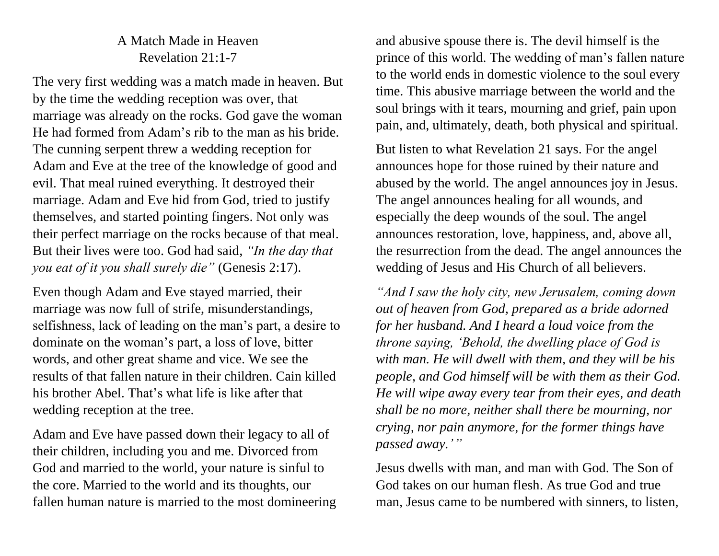## A Match Made in Heaven Revelation 21:1-7

The very first wedding was a match made in heaven. But by the time the wedding reception was over, that marriage was already on the rocks. God gave the woman He had formed from Adam's rib to the man as his bride. The cunning serpent threw a wedding reception for Adam and Eve at the tree of the knowledge of good and evil. That meal ruined everything. It destroyed their marriage. Adam and Eve hid from God, tried to justify themselves, and started pointing fingers. Not only was their perfect marriage on the rocks because of that meal. But their lives were too. God had said, *"In the day that you eat of it you shall surely die"* (Genesis 2:17).

Even though Adam and Eve stayed married, their marriage was now full of strife, misunderstandings, selfishness, lack of leading on the man's part, a desire to dominate on the woman's part, a loss of love, bitter words, and other great shame and vice. We see the results of that fallen nature in their children. Cain killed his brother Abel. That's what life is like after that wedding reception at the tree.

Adam and Eve have passed down their legacy to all of their children, including you and me. Divorced from God and married to the world, your nature is sinful to the core. Married to the world and its thoughts, our fallen human nature is married to the most domineering

and abusive spouse there is. The devil himself is the prince of this world. The wedding of man's fallen nature to the world ends in domestic violence to the soul every time. This abusive marriage between the world and the soul brings with it tears, mourning and grief, pain upon pain, and, ultimately, death, both physical and spiritual.

But listen to what Revelation 21 says. For the angel announces hope for those ruined by their nature and abused by the world. The angel announces joy in Jesus. The angel announces healing for all wounds, and especially the deep wounds of the soul. The angel announces restoration, love, happiness, and, above all, the resurrection from the dead. The angel announces the wedding of Jesus and His Church of all believers.

*"And I saw the holy city, new Jerusalem, coming down out of heaven from God, prepared as a bride adorned for her husband. And I heard a loud voice from the throne saying, 'Behold, the dwelling place of God is with man. He will dwell with them, and they will be his people, and God himself will be with them as their God. He will wipe away every tear from their eyes, and death shall be no more, neither shall there be mourning, nor crying, nor pain anymore, for the former things have passed away.' "*

Jesus dwells with man, and man with God. The Son of God takes on our human flesh. As true God and true man, Jesus came to be numbered with sinners, to listen,